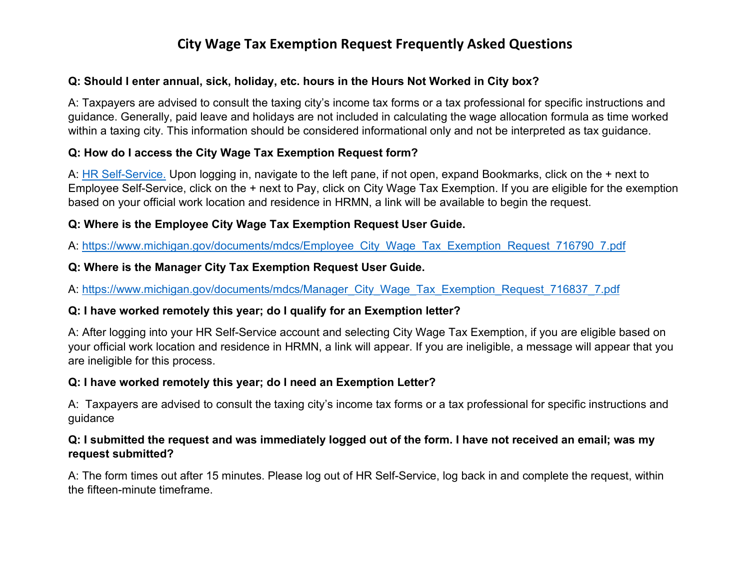# **City Wage Tax Exemption Request Frequently Asked Questions**

## **Q: Should I enter annual, sick, holiday, etc. hours in the Hours Not Worked in City box?**

A: Taxpayers are advised to consult the taxing city's income tax forms or a tax professional for specific instructions and guidance. Generally, paid leave and holidays are not included in calculating the wage allocation formula as time worked within a taxing city. This information should be considered informational only and not be interpreted as tax guidance.

## **Q: How do I access the City Wage Tax Exemption Request form?**

A: [HR Self-Service.](https://hrselfserv.michigan.gov/sso/SSOServlet?_ssoOrigUrl=https://hrselfserv.michigan.gov/lawson/portal/index.htm?portalloadreference=1612964888380) Upon logging in, navigate to the left pane, if not open, expand Bookmarks, click on the + next to Employee Self-Service, click on the + next to Pay, click on City Wage Tax Exemption. If you are eligible for the exemption based on your official work location and residence in HRMN, a link will be available to begin the request.

## **Q: Where is the Employee City Wage Tax Exemption Request User Guide.**

A: [https://www.michigan.gov/documents/mdcs/Employee\\_City\\_Wage\\_Tax\\_Exemption\\_Request\\_716790\\_7.pdf](https://www.michigan.gov/documents/mdcs/Employee_City_Wage_Tax_Exemption_Request_716790_7.pdf)

## **Q: Where is the Manager City Tax Exemption Request User Guide.**

A: [https://www.michigan.gov/documents/mdcs/Manager\\_City\\_Wage\\_Tax\\_Exemption\\_Request\\_716837\\_7.pdf](https://www.michigan.gov/documents/mdcs/Manager_City_Wage_Tax_Exemption_Request_716837_7.pdf)

## **Q: I have worked remotely this year; do I qualify for an Exemption letter?**

A: After logging into your HR Self-Service account and selecting City Wage Tax Exemption, if you are eligible based on your official work location and residence in HRMN, a link will appear. If you are ineligible, a message will appear that you are ineligible for this process.

## **Q: I have worked remotely this year; do I need an Exemption Letter?**

A: Taxpayers are advised to consult the taxing city's income tax forms or a tax professional for specific instructions and guidance

## **Q: I submitted the request and was immediately logged out of the form. I have not received an email; was my request submitted?**

A: The form times out after 15 minutes. Please log out of HR Self-Service, log back in and complete the request, within the fifteen-minute timeframe.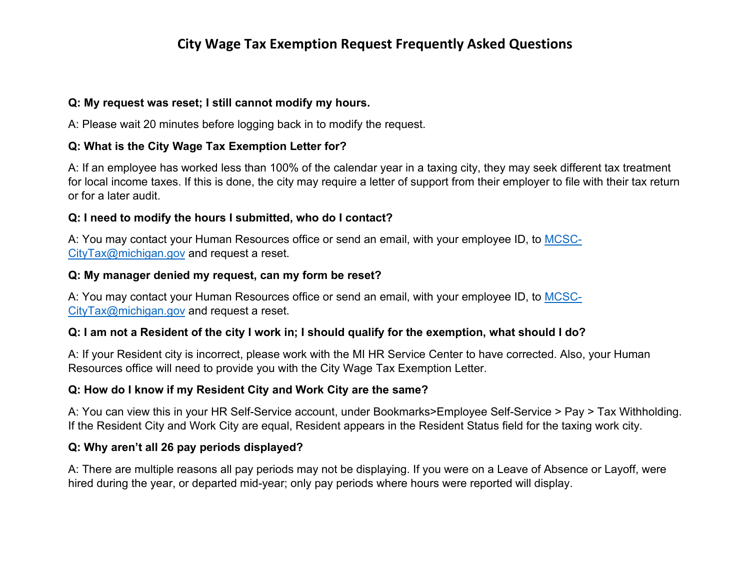# **City Wage Tax Exemption Request Frequently Asked Questions**

#### **Q: My request was reset; I still cannot modify my hours.**

A: Please wait 20 minutes before logging back in to modify the request.

#### **Q: What is the City Wage Tax Exemption Letter for?**

A: If an employee has worked less than 100% of the calendar year in a taxing city, they may seek different tax treatment for local income taxes. If this is done, the city may require a letter of support from their employer to file with their tax return or for a later audit.

#### **Q: I need to modify the hours I submitted, who do I contact?**

A: You may contact your Human Resources office or send an email, with your employee ID, to [MCSC-](mailto:MCSC-CityTax@michigan.gov)[CityTax@michigan.gov](mailto:MCSC-CityTax@michigan.gov) and request a reset.

#### **Q: My manager denied my request, can my form be reset?**

A: You may contact your Human Resources office or send an email, with your employee ID, to [MCSC-](mailto:MCSC-CityTax@michigan.gov)[CityTax@michigan.gov](mailto:MCSC-CityTax@michigan.gov) and request a reset.

#### **Q: I am not a Resident of the city I work in; I should qualify for the exemption, what should I do?**

A: If your Resident city is incorrect, please work with the MI HR Service Center to have corrected. Also, your Human Resources office will need to provide you with the City Wage Tax Exemption Letter.

#### **Q: How do I know if my Resident City and Work City are the same?**

A: You can view this in your HR Self-Service account, under Bookmarks>Employee Self-Service > Pay > Tax Withholding. If the Resident City and Work City are equal, Resident appears in the Resident Status field for the taxing work city.

#### **Q: Why aren't all 26 pay periods displayed?**

A: There are multiple reasons all pay periods may not be displaying. If you were on a Leave of Absence or Layoff, were hired during the year, or departed mid-year; only pay periods where hours were reported will display.